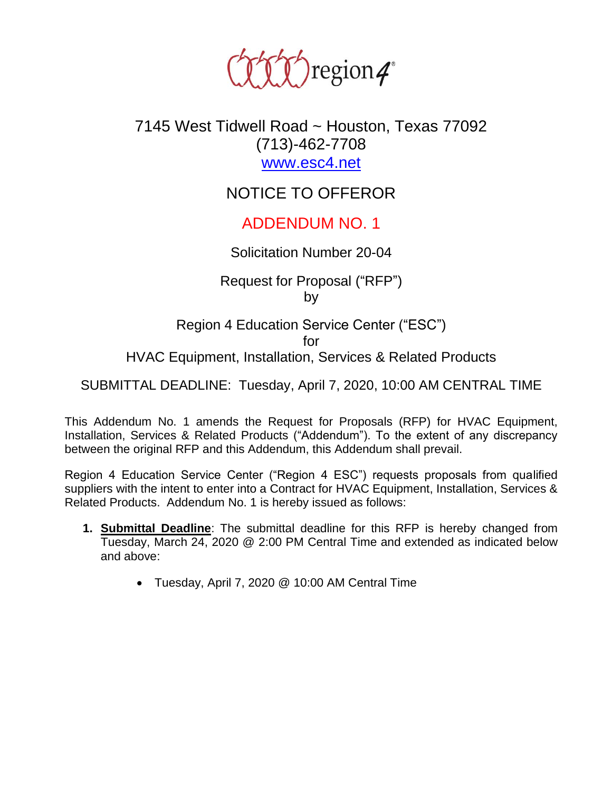

## 7145 West Tidwell Road ~ Houston, Texas 77092 (713)-462-7708 [www.esc4.net](http://www.esc4.net/)

# NOTICE TO OFFEROR

## ADDENDUM NO. 1

#### Solicitation Number 20-04

Request for Proposal ("RFP") by

Region 4 Education Service Center ("ESC") for HVAC Equipment, Installation, Services & Related Products

SUBMITTAL DEADLINE: Tuesday, April 7, 2020, 10:00 AM CENTRAL TIME

This Addendum No. 1 amends the Request for Proposals (RFP) for HVAC Equipment, Installation, Services & Related Products ("Addendum"). To the extent of any discrepancy between the original RFP and this Addendum, this Addendum shall prevail.

Region 4 Education Service Center ("Region 4 ESC") requests proposals from qualified suppliers with the intent to enter into a Contract for HVAC Equipment, Installation, Services & Related Products. Addendum No. 1 is hereby issued as follows:

- **1. Submittal Deadline**: The submittal deadline for this RFP is hereby changed from Tuesday, March 24, 2020 @ 2:00 PM Central Time and extended as indicated below and above:
	- Tuesday, April 7, 2020 @ 10:00 AM Central Time